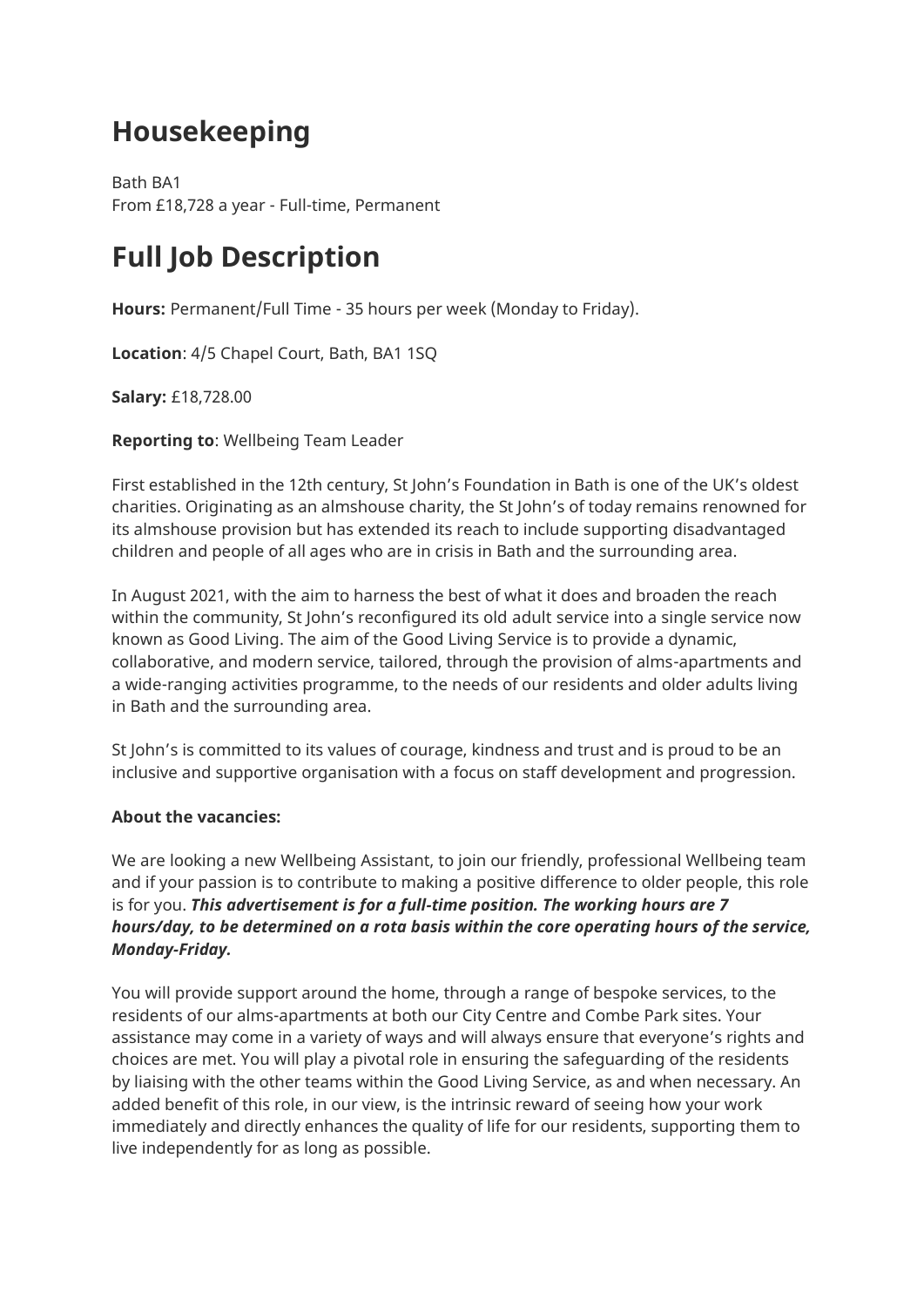## **Housekeeping**

Bath BA1 From £18,728 a year - Full-time, Permanent

# **Full Job Description**

**Hours:** Permanent/Full Time - 35 hours per week (Monday to Friday).

**Location**: 4/5 Chapel Court, Bath, BA1 1SQ

**Salary:** £18,728.00

**Reporting to**: Wellbeing Team Leader

First established in the 12th century, St John's Foundation in Bath is one of the UK's oldest charities. Originating as an almshouse charity, the St John's of today remains renowned for its almshouse provision but has extended its reach to include supporting disadvantaged children and people of all ages who are in crisis in Bath and the surrounding area.

In August 2021, with the aim to harness the best of what it does and broaden the reach within the community, St John's reconfigured its old adult service into a single service now known as Good Living. The aim of the Good Living Service is to provide a dynamic, collaborative, and modern service, tailored, through the provision of alms-apartments and a wide-ranging activities programme, to the needs of our residents and older adults living in Bath and the surrounding area.

St John's is committed to its values of courage, kindness and trust and is proud to be an inclusive and supportive organisation with a focus on staff development and progression.

## **About the vacancies:**

We are looking a new Wellbeing Assistant, to join our friendly, professional Wellbeing team and if your passion is to contribute to making a positive difference to older people, this role is for you. *This advertisement is for a full-time position. The working hours are 7 hours/day, to be determined on a rota basis within the core operating hours of the service, Monday-Friday.*

You will provide support around the home, through a range of bespoke services, to the residents of our alms-apartments at both our City Centre and Combe Park sites. Your assistance may come in a variety of ways and will always ensure that everyone's rights and choices are met. You will play a pivotal role in ensuring the safeguarding of the residents by liaising with the other teams within the Good Living Service, as and when necessary. An added benefit of this role, in our view, is the intrinsic reward of seeing how your work immediately and directly enhances the quality of life for our residents, supporting them to live independently for as long as possible.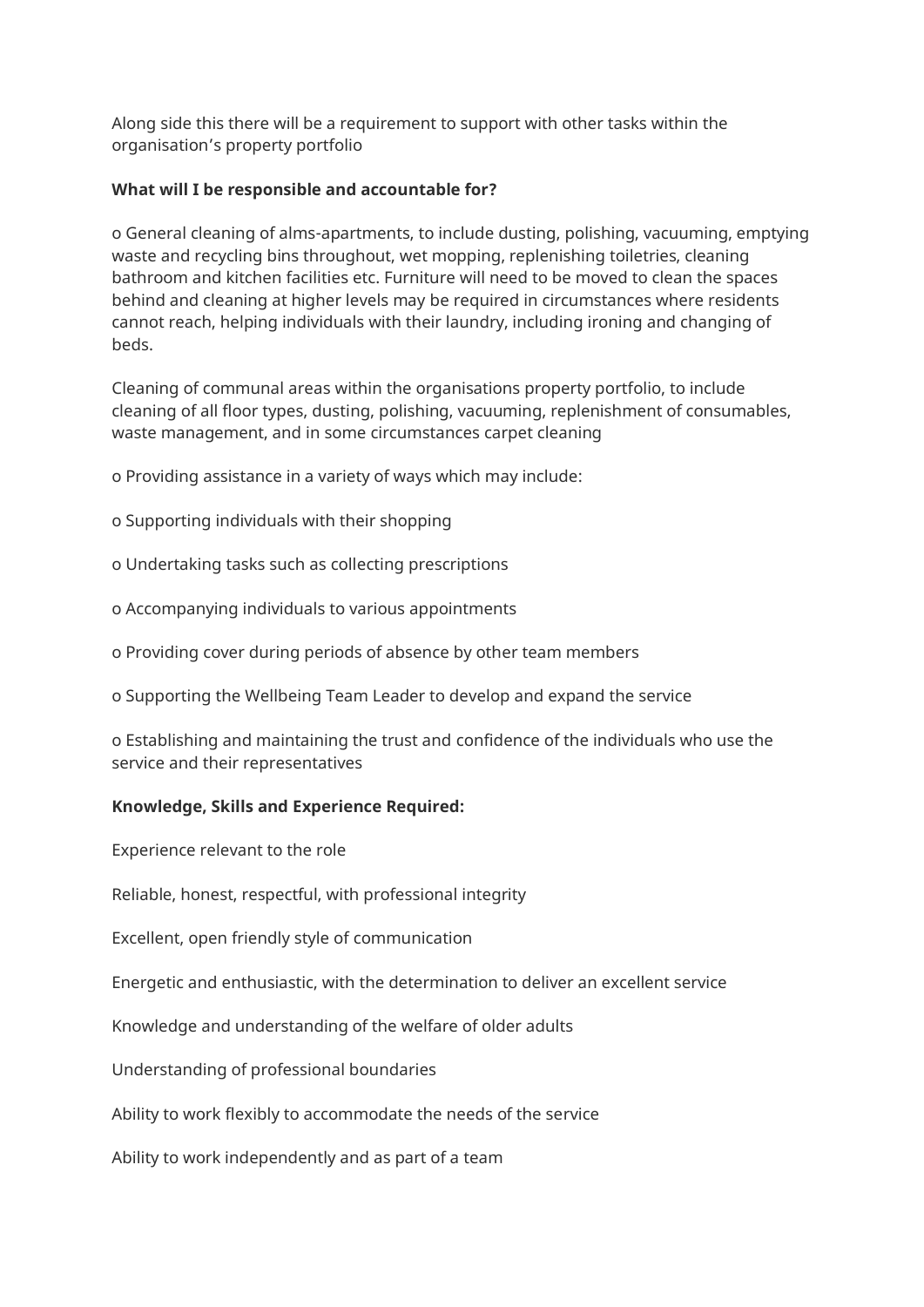Along side this there will be a requirement to support with other tasks within the organisation's property portfolio

## **What will I be responsible and accountable for?**

o General cleaning of alms-apartments, to include dusting, polishing, vacuuming, emptying waste and recycling bins throughout, wet mopping, replenishing toiletries, cleaning bathroom and kitchen facilities etc. Furniture will need to be moved to clean the spaces behind and cleaning at higher levels may be required in circumstances where residents cannot reach, helping individuals with their laundry, including ironing and changing of beds.

Cleaning of communal areas within the organisations property portfolio, to include cleaning of all floor types, dusting, polishing, vacuuming, replenishment of consumables, waste management, and in some circumstances carpet cleaning

o Providing assistance in a variety of ways which may include:

- o Supporting individuals with their shopping
- o Undertaking tasks such as collecting prescriptions
- o Accompanying individuals to various appointments
- o Providing cover during periods of absence by other team members
- o Supporting the Wellbeing Team Leader to develop and expand the service
- o Establishing and maintaining the trust and confidence of the individuals who use the service and their representatives

#### **Knowledge, Skills and Experience Required:**

Experience relevant to the role

Reliable, honest, respectful, with professional integrity

Excellent, open friendly style of communication

Energetic and enthusiastic, with the determination to deliver an excellent service

Knowledge and understanding of the welfare of older adults

Understanding of professional boundaries

Ability to work flexibly to accommodate the needs of the service

Ability to work independently and as part of a team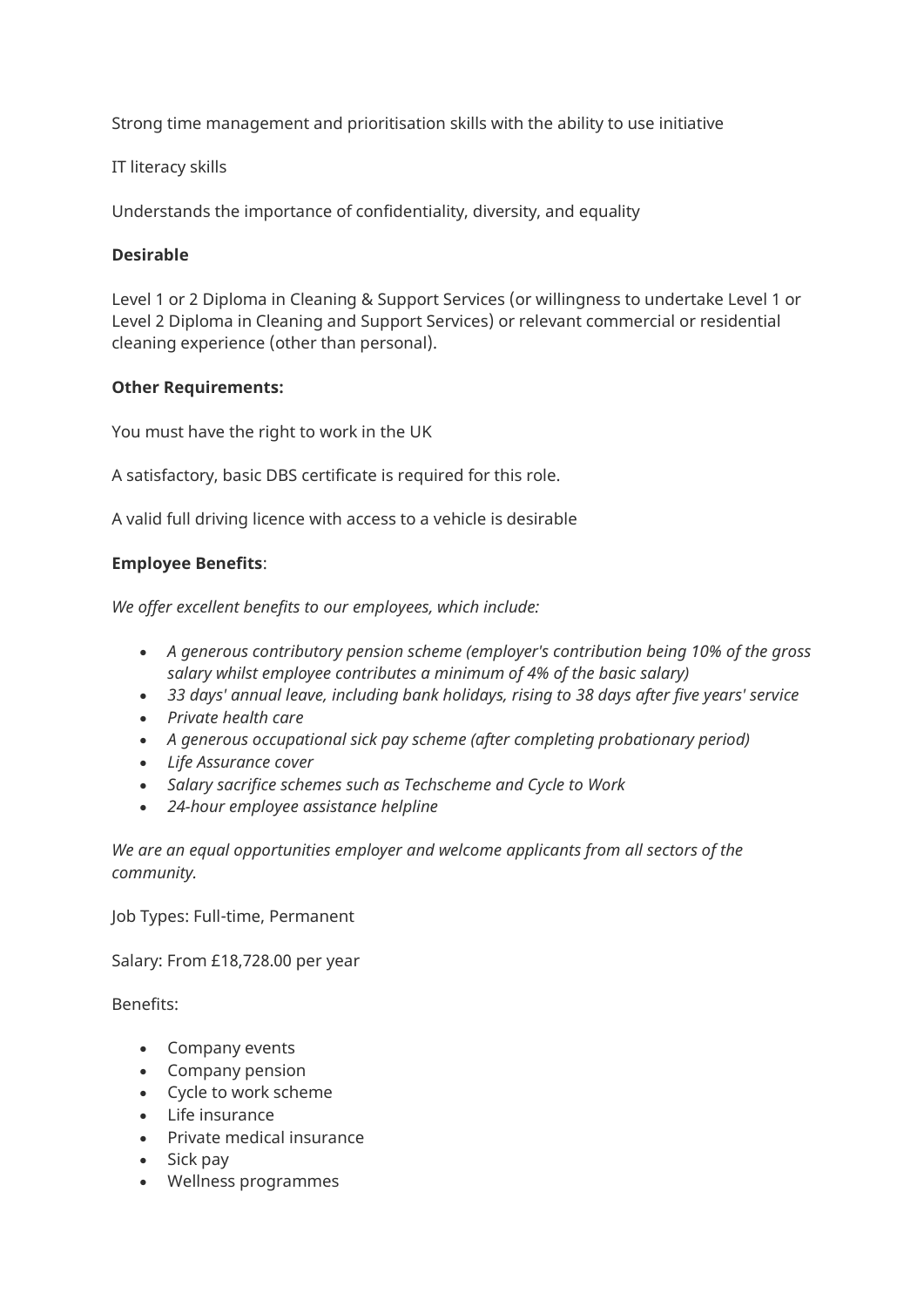Strong time management and prioritisation skills with the ability to use initiative

## IT literacy skills

Understands the importance of confidentiality, diversity, and equality

## **Desirable**

Level 1 or 2 Diploma in Cleaning & Support Services (or willingness to undertake Level 1 or Level 2 Diploma in Cleaning and Support Services) or relevant commercial or residential cleaning experience (other than personal).

## **Other Requirements:**

You must have the right to work in the UK

A satisfactory, basic DBS certificate is required for this role.

A valid full driving licence with access to a vehicle is desirable

## **Employee Benefits**:

*We offer excellent benefits to our employees, which include:*

- *A generous contributory pension scheme (employer's contribution being 10% of the gross salary whilst employee contributes a minimum of 4% of the basic salary)*
- *33 days' annual leave, including bank holidays, rising to 38 days after five years' service*
- *Private health care*
- *A generous occupational sick pay scheme (after completing probationary period)*
- *Life Assurance cover*
- *Salary sacrifice schemes such as Techscheme and Cycle to Work*
- *24-hour employee assistance helpline*

*We are an equal opportunities employer and welcome applicants from all sectors of the community.*

Job Types: Full-time, Permanent

Salary: From £18,728.00 per year

Benefits:

- Company events
- Company pension
- Cycle to work scheme
- Life insurance
- Private medical insurance
- Sick pay
- Wellness programmes